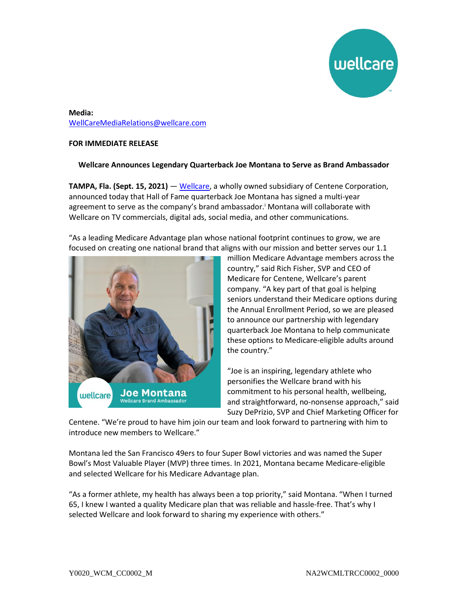

# **Media:** [WellCareMediaRelations@wellcare.com](mailto:WellCareMediaRelations@wellcare.com)

### **FOR IMMEDIATE RELEASE**

### **Wellcare Announces Legendary Quarterback Joe Montana to Serve as Brand Ambassador**

**TAMPA, Fla. (Sept. 15, 2021)** — [Wellcare,](http://www.wellcare.com/) a wholly owned subsidiary of Centene Corporation, announced today that Hall of Fame quarterback Joe Montana has signed a multi-year agreement to serve as the company's brand ambassador.<sup>1</sup> Montana will collaborate with Wellcare on TV commercials, digital ads, social media, and other communications.

"As a leading Medicare Advantage plan whose national footprint continues to grow, we are focused on creating one national brand that aligns with our mission and better serves our 1.1



million Medicare Advantage members across the country," said Rich Fisher, SVP and CEO of Medicare for Centene, Wellcare's parent company. "A key part of that goal is helping seniors understand their Medicare options during the Annual Enrollment Period, so we are pleased to announce our partnership with legendary quarterback Joe Montana to help communicate these options to Medicare-eligible adults around the country."

"Joe is an inspiring, legendary athlete who personifies the Wellcare brand with his commitment to his personal health, wellbeing, and straightforward, no-nonsense approach," said Suzy DePrizio, SVP and Chief Marketing Officer for

Centene. "We're proud to have him join our team and look forward to partnering with him to introduce new members to Wellcare."

Montana led the San Francisco 49ers to four Super Bowl victories and was named the Super Bowl's Most Valuable Player (MVP) three times. In 2021, Montana became Medicare-eligible and selected Wellcare for his Medicare Advantage plan.

"As a former athlete, my health has always been a top priority," said Montana. "When I turned 65, I knew I wanted a quality Medicare plan that was reliable and hassle-free. That's why I selected Wellcare and look forward to sharing my experience with others."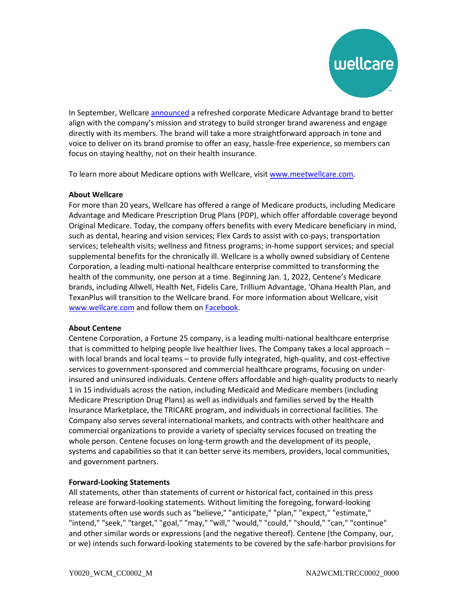

In September, Wellcar[e announced](https://www.prnewswire.com/news-releases/wellcare-announces-refreshed-brand-in-effort-to-better-serve-medicare-members-301366933.html) a refreshed corporate Medicare Advantage brand to better align with the company's mission and strategy to build stronger brand awareness and engage directly with its members. The brand will take a more straightforward approach in tone and voice to deliver on its brand promise to offer an easy, hassle-free experience, so members can focus on staying healthy, not on their health insurance.

To learn more about Medicare options with Wellcare, visit [www.meetwellcare.com.](http://www.meetwellcare.com/)

## **About Wellcare**

For more than 20 years, Wellcare has offered a range of Medicare products, including Medicare Advantage and Medicare Prescription Drug Plans (PDP), which offer affordable coverage beyond Original Medicare. Today, the company offers benefits with every Medicare beneficiary in mind, such as dental, hearing and vision services; Flex Cards to assist with co-pays; transportation services; telehealth visits; wellness and fitness programs; in-home support services; and special supplemental benefits for the chronically ill. Wellcare is a wholly owned subsidiary of Centene Corporation, a leading multi-national healthcare enterprise committed to transforming the health of the community, one person at a time. Beginning Jan. 1, 2022, Centene's Medicare brands, including Allwell, Health Net, Fidelis Care, Trillium Advantage, 'Ohana Health Plan, and TexanPlus will transition to the Wellcare brand. For more information about Wellcare, visit [www.wellcare.com](http://www.wellcare.com/) and follow them o[n Facebook.](https://www.facebook.com/WellcareMedicare)

### **About Centene**

Centene Corporation, a Fortune 25 company, is a leading multi-national healthcare enterprise that is committed to helping people live healthier lives. The Company takes a local approach – with local brands and local teams – to provide fully integrated, high-quality, and cost-effective services to government-sponsored and commercial healthcare programs, focusing on underinsured and uninsured individuals. Centene offers affordable and high-quality products to nearly 1 in 15 individuals across the nation, including Medicaid and Medicare members (including Medicare Prescription Drug Plans) as well as individuals and families served by the Health Insurance Marketplace, the TRICARE program, and individuals in correctional facilities. The Company also serves several international markets, and contracts with other healthcare and commercial organizations to provide a variety of specialty services focused on treating the whole person. Centene focuses on long-term growth and the development of its people, systems and capabilities so that it can better serve its members, providers, local communities, and government partners.

### **Forward-Looking Statements**

All statements, other than statements of current or historical fact, contained in this press release are forward-looking statements. Without limiting the foregoing, forward-looking statements often use words such as "believe," "anticipate," "plan," "expect," "estimate," "intend," "seek," "target," "goal," "may," "will," "would," "could," "should," "can," "continue" and other similar words or expressions (and the negative thereof). Centene (the Company, our, or we) intends such forward-looking statements to be covered by the safe-harbor provisions for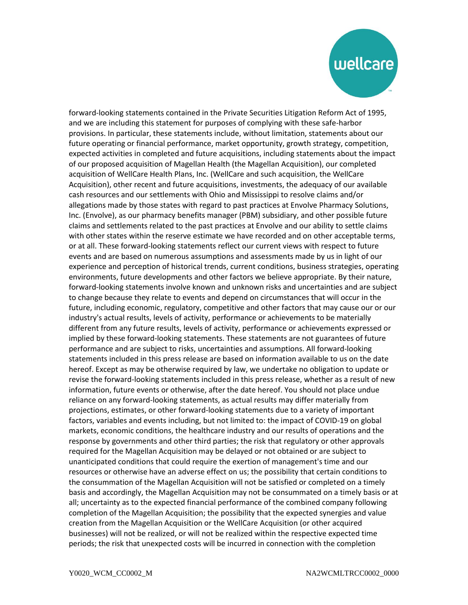

forward-looking statements contained in the Private Securities Litigation Reform Act of 1995, and we are including this statement for purposes of complying with these safe-harbor provisions. In particular, these statements include, without limitation, statements about our future operating or financial performance, market opportunity, growth strategy, competition, expected activities in completed and future acquisitions, including statements about the impact of our proposed acquisition of Magellan Health (the Magellan Acquisition), our completed acquisition of WellCare Health Plans, Inc. (WellCare and such acquisition, the WellCare Acquisition), other recent and future acquisitions, investments, the adequacy of our available cash resources and our settlements with Ohio and Mississippi to resolve claims and/or allegations made by those states with regard to past practices at Envolve Pharmacy Solutions, Inc. (Envolve), as our pharmacy benefits manager (PBM) subsidiary, and other possible future claims and settlements related to the past practices at Envolve and our ability to settle claims with other states within the reserve estimate we have recorded and on other acceptable terms, or at all. These forward-looking statements reflect our current views with respect to future events and are based on numerous assumptions and assessments made by us in light of our experience and perception of historical trends, current conditions, business strategies, operating environments, future developments and other factors we believe appropriate. By their nature, forward-looking statements involve known and unknown risks and uncertainties and are subject to change because they relate to events and depend on circumstances that will occur in the future, including economic, regulatory, competitive and other factors that may cause our or our industry's actual results, levels of activity, performance or achievements to be materially different from any future results, levels of activity, performance or achievements expressed or implied by these forward-looking statements. These statements are not guarantees of future performance and are subject to risks, uncertainties and assumptions. All forward-looking statements included in this press release are based on information available to us on the date hereof. Except as may be otherwise required by law, we undertake no obligation to update or revise the forward-looking statements included in this press release, whether as a result of new information, future events or otherwise, after the date hereof. You should not place undue reliance on any forward-looking statements, as actual results may differ materially from projections, estimates, or other forward-looking statements due to a variety of important factors, variables and events including, but not limited to: the impact of COVID-19 on global markets, economic conditions, the healthcare industry and our results of operations and the response by governments and other third parties; the risk that regulatory or other approvals required for the Magellan Acquisition may be delayed or not obtained or are subject to unanticipated conditions that could require the exertion of management's time and our resources or otherwise have an adverse effect on us; the possibility that certain conditions to the consummation of the Magellan Acquisition will not be satisfied or completed on a timely basis and accordingly, the Magellan Acquisition may not be consummated on a timely basis or at all; uncertainty as to the expected financial performance of the combined company following completion of the Magellan Acquisition; the possibility that the expected synergies and value creation from the Magellan Acquisition or the WellCare Acquisition (or other acquired businesses) will not be realized, or will not be realized within the respective expected time periods; the risk that unexpected costs will be incurred in connection with the completion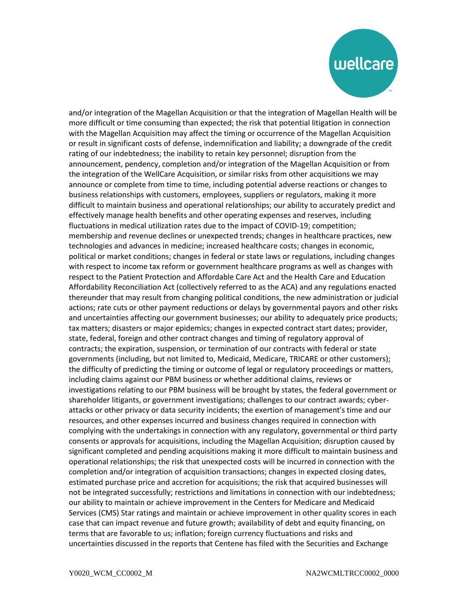

and/or integration of the Magellan Acquisition or that the integration of Magellan Health will be more difficult or time consuming than expected; the risk that potential litigation in connection with the Magellan Acquisition may affect the timing or occurrence of the Magellan Acquisition or result in significant costs of defense, indemnification and liability; a downgrade of the credit rating of our indebtedness; the inability to retain key personnel; disruption from the announcement, pendency, completion and/or integration of the Magellan Acquisition or from the integration of the WellCare Acquisition, or similar risks from other acquisitions we may announce or complete from time to time, including potential adverse reactions or changes to business relationships with customers, employees, suppliers or regulators, making it more difficult to maintain business and operational relationships; our ability to accurately predict and effectively manage health benefits and other operating expenses and reserves, including fluctuations in medical utilization rates due to the impact of COVID-19; competition; membership and revenue declines or unexpected trends; changes in healthcare practices, new technologies and advances in medicine; increased healthcare costs; changes in economic, political or market conditions; changes in federal or state laws or regulations, including changes with respect to income tax reform or government healthcare programs as well as changes with respect to the Patient Protection and Affordable Care Act and the Health Care and Education Affordability Reconciliation Act (collectively referred to as the ACA) and any regulations enacted thereunder that may result from changing political conditions, the new administration or judicial actions; rate cuts or other payment reductions or delays by governmental payors and other risks and uncertainties affecting our government businesses; our ability to adequately price products; tax matters; disasters or major epidemics; changes in expected contract start dates; provider, state, federal, foreign and other contract changes and timing of regulatory approval of contracts; the expiration, suspension, or termination of our contracts with federal or state governments (including, but not limited to, Medicaid, Medicare, TRICARE or other customers); the difficulty of predicting the timing or outcome of legal or regulatory proceedings or matters, including claims against our PBM business or whether additional claims, reviews or investigations relating to our PBM business will be brought by states, the federal government or shareholder litigants, or government investigations; challenges to our contract awards; cyberattacks or other privacy or data security incidents; the exertion of management's time and our resources, and other expenses incurred and business changes required in connection with complying with the undertakings in connection with any regulatory, governmental or third party consents or approvals for acquisitions, including the Magellan Acquisition; disruption caused by significant completed and pending acquisitions making it more difficult to maintain business and operational relationships; the risk that unexpected costs will be incurred in connection with the completion and/or integration of acquisition transactions; changes in expected closing dates, estimated purchase price and accretion for acquisitions; the risk that acquired businesses will not be integrated successfully; restrictions and limitations in connection with our indebtedness; our ability to maintain or achieve improvement in the Centers for Medicare and Medicaid Services (CMS) Star ratings and maintain or achieve improvement in other quality scores in each case that can impact revenue and future growth; availability of debt and equity financing, on terms that are favorable to us; inflation; foreign currency fluctuations and risks and uncertainties discussed in the reports that Centene has filed with the Securities and Exchange